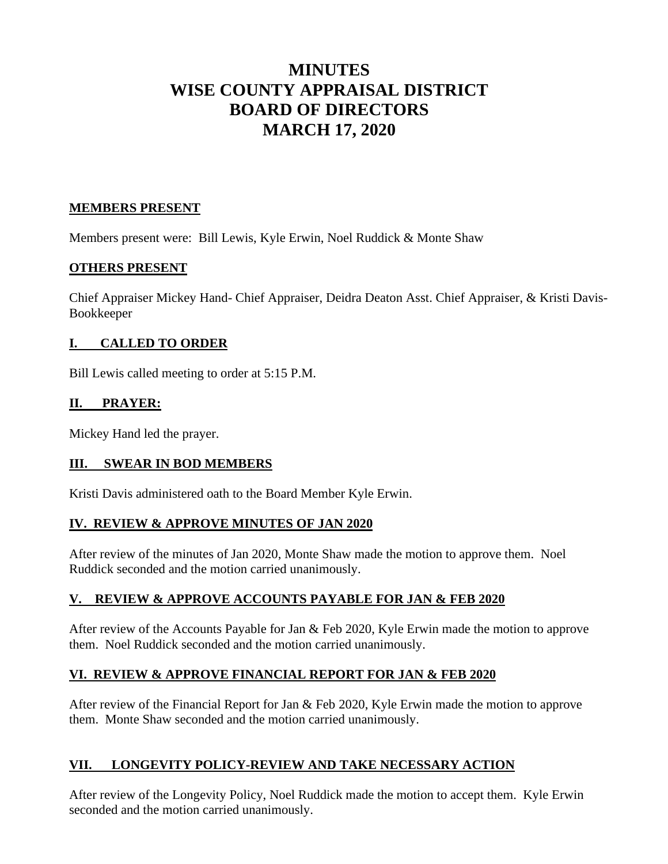# **MINUTES WISE COUNTY APPRAISAL DISTRICT BOARD OF DIRECTORS MARCH 17, 2020**

## **MEMBERS PRESENT**

Members present were: Bill Lewis, Kyle Erwin, Noel Ruddick & Monte Shaw

## **OTHERS PRESENT**

Chief Appraiser Mickey Hand- Chief Appraiser, Deidra Deaton Asst. Chief Appraiser, & Kristi Davis-Bookkeeper

## **I. CALLED TO ORDER**

Bill Lewis called meeting to order at 5:15 P.M.

## **II. PRAYER:**

Mickey Hand led the prayer.

#### **III. SWEAR IN BOD MEMBERS**

Kristi Davis administered oath to the Board Member Kyle Erwin.

#### **IV. REVIEW & APPROVE MINUTES OF JAN 2020**

After review of the minutes of Jan 2020, Monte Shaw made the motion to approve them. Noel Ruddick seconded and the motion carried unanimously.

# **V. REVIEW & APPROVE ACCOUNTS PAYABLE FOR JAN & FEB 2020**

After review of the Accounts Payable for Jan & Feb 2020, Kyle Erwin made the motion to approve them. Noel Ruddick seconded and the motion carried unanimously.

# **VI. REVIEW & APPROVE FINANCIAL REPORT FOR JAN & FEB 2020**

After review of the Financial Report for Jan & Feb 2020, Kyle Erwin made the motion to approve them. Monte Shaw seconded and the motion carried unanimously.

# **VII. LONGEVITY POLICY-REVIEW AND TAKE NECESSARY ACTION**

After review of the Longevity Policy, Noel Ruddick made the motion to accept them. Kyle Erwin seconded and the motion carried unanimously.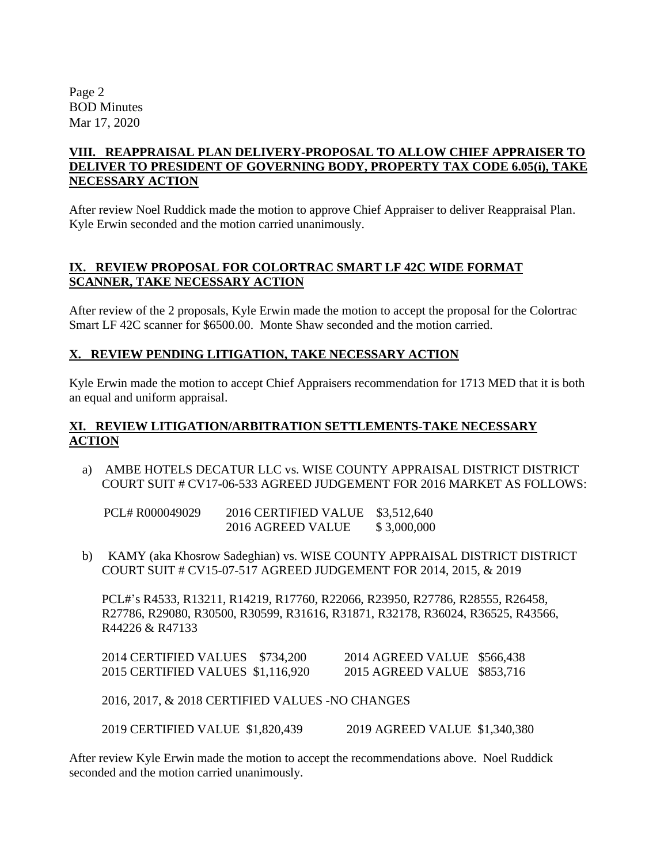Page 2 BOD Minutes Mar 17, 2020

## **VIII. REAPPRAISAL PLAN DELIVERY-PROPOSAL TO ALLOW CHIEF APPRAISER TO DELIVER TO PRESIDENT OF GOVERNING BODY, PROPERTY TAX CODE 6.05(i), TAKE NECESSARY ACTION**

After review Noel Ruddick made the motion to approve Chief Appraiser to deliver Reappraisal Plan. Kyle Erwin seconded and the motion carried unanimously.

## **IX. REVIEW PROPOSAL FOR COLORTRAC SMART LF 42C WIDE FORMAT SCANNER, TAKE NECESSARY ACTION**

After review of the 2 proposals, Kyle Erwin made the motion to accept the proposal for the Colortrac Smart LF 42C scanner for \$6500.00. Monte Shaw seconded and the motion carried.

## **X. REVIEW PENDING LITIGATION, TAKE NECESSARY ACTION**

Kyle Erwin made the motion to accept Chief Appraisers recommendation for 1713 MED that it is both an equal and uniform appraisal.

## **XI. REVIEW LITIGATION/ARBITRATION SETTLEMENTS-TAKE NECESSARY ACTION**

a) AMBE HOTELS DECATUR LLC vs. WISE COUNTY APPRAISAL DISTRICT DISTRICT COURT SUIT # CV17-06-533 AGREED JUDGEMENT FOR 2016 MARKET AS FOLLOWS:

 PCL# R000049029 2016 CERTIFIED VALUE \$3,512,640 2016 AGREED VALUE \$ 3,000,000

b) KAMY (aka Khosrow Sadeghian) vs. WISE COUNTY APPRAISAL DISTRICT DISTRICT COURT SUIT # CV15-07-517 AGREED JUDGEMENT FOR 2014, 2015, & 2019

PCL#'s R4533, R13211, R14219, R17760, R22066, R23950, R27786, R28555, R26458, R27786, R29080, R30500, R30599, R31616, R31871, R32178, R36024, R36525, R43566, R44226 & R47133

| 2014 CERTIFIED VALUES \$734,200   | 2014 AGREED VALUE \$566,438 |  |
|-----------------------------------|-----------------------------|--|
| 2015 CERTIFIED VALUES \$1,116,920 | 2015 AGREED VALUE \$853,716 |  |

2016, 2017, & 2018 CERTIFIED VALUES -NO CHANGES

2019 CERTIFIED VALUE \$1,820,439 2019 AGREED VALUE \$1,340,380

After review Kyle Erwin made the motion to accept the recommendations above. Noel Ruddick seconded and the motion carried unanimously.